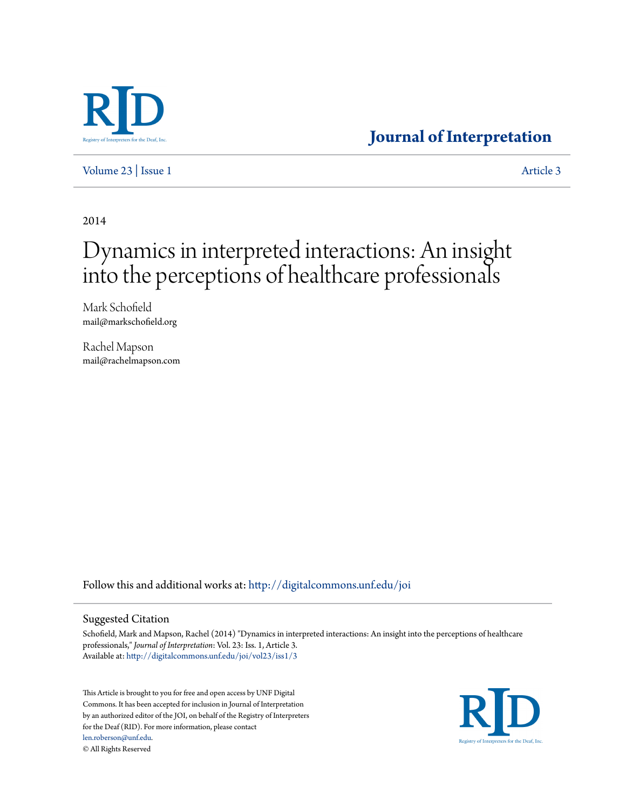

# **[Journal of Interpretation](http://digitalcommons.unf.edu/joi?utm_source=digitalcommons.unf.edu%2Fjoi%2Fvol23%2Fiss1%2F3&utm_medium=PDF&utm_campaign=PDFCoverPages)**

[Volume 23](http://digitalcommons.unf.edu/joi/vol23?utm_source=digitalcommons.unf.edu%2Fjoi%2Fvol23%2Fiss1%2F3&utm_medium=PDF&utm_campaign=PDFCoverPages) | [Issue 1](http://digitalcommons.unf.edu/joi/vol23/iss1?utm_source=digitalcommons.unf.edu%2Fjoi%2Fvol23%2Fiss1%2F3&utm_medium=PDF&utm_campaign=PDFCoverPages) [Article 3](http://digitalcommons.unf.edu/joi/vol23/iss1/3?utm_source=digitalcommons.unf.edu%2Fjoi%2Fvol23%2Fiss1%2F3&utm_medium=PDF&utm_campaign=PDFCoverPages)

2014

# Dynamics in interpreted interactions: An insight into the perceptions of healthcare professionals

Mark Schofield mail@markschofield.org

Rachel Mapson mail@rachelmapson.com

Follow this and additional works at: [http://digitalcommons.unf.edu/joi](http://digitalcommons.unf.edu/joi?utm_source=digitalcommons.unf.edu%2Fjoi%2Fvol23%2Fiss1%2F3&utm_medium=PDF&utm_campaign=PDFCoverPages)

#### Suggested Citation

Schofield, Mark and Mapson, Rachel (2014) "Dynamics in interpreted interactions: An insight into the perceptions of healthcare professionals," *Journal of Interpretation*: Vol. 23: Iss. 1, Article 3. Available at: [http://digitalcommons.unf.edu/joi/vol23/iss1/3](http://digitalcommons.unf.edu/joi/vol23/iss1/3?utm_source=digitalcommons.unf.edu%2Fjoi%2Fvol23%2Fiss1%2F3&utm_medium=PDF&utm_campaign=PDFCoverPages)

This Article is brought to you for free and open access by UNF Digital Commons. It has been accepted for inclusion in Journal of Interpretation by an authorized editor of the JOI, on behalf of the Registry of Interpreters for the Deaf (RID). For more information, please contact [len.roberson@unf.edu.](mailto:len.roberson@unf.edu) © All Rights Reserved

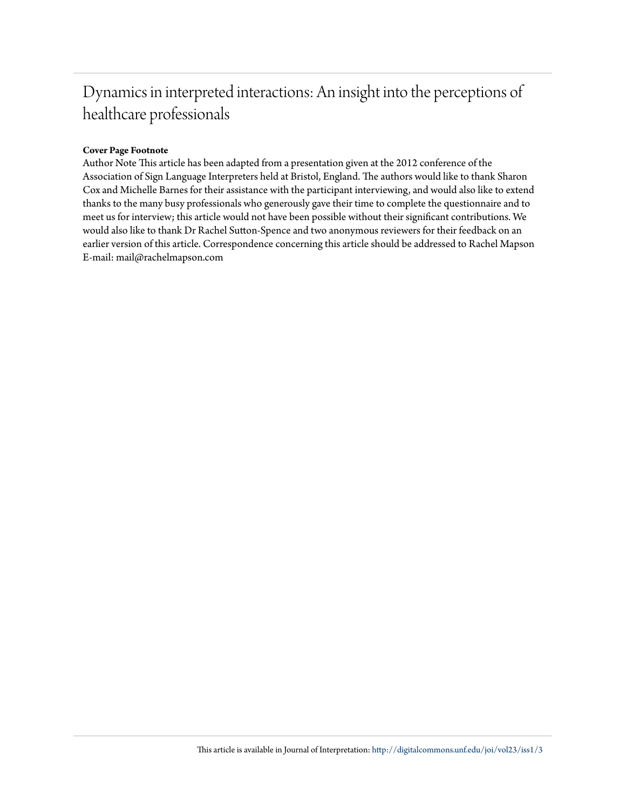# Dynamics in interpreted interactions: An insight into the perceptions of healthcare professionals

# **Cover Page Footnote**

Author Note This article has been adapted from a presentation given at the 2012 conference of the Association of Sign Language Interpreters held at Bristol, England. The authors would like to thank Sharon Cox and Michelle Barnes for their assistance with the participant interviewing, and would also like to extend thanks to the many busy professionals who generously gave their time to complete the questionnaire and to meet us for interview; this article would not have been possible without their significant contributions. We would also like to thank Dr Rachel Sutton-Spence and two anonymous reviewers for their feedback on an earlier version of this article. Correspondence concerning this article should be addressed to Rachel Mapson E-mail: mail@rachelmapson.com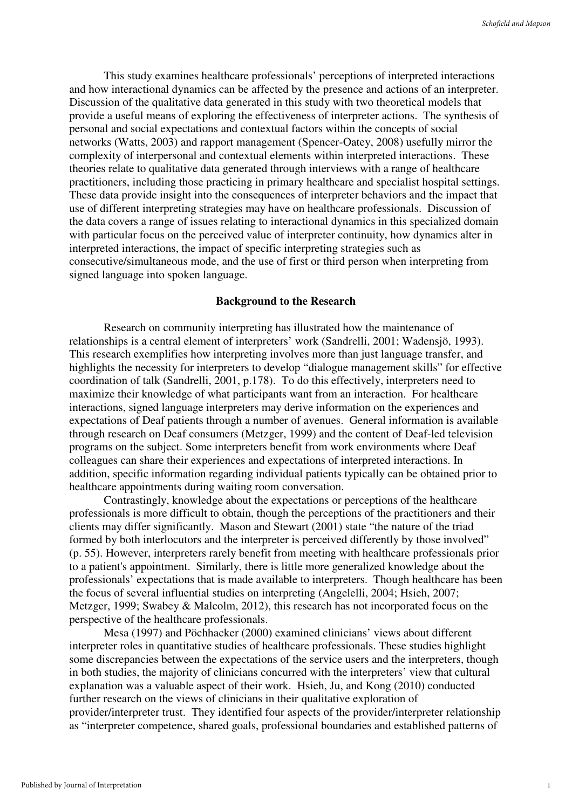This study examines healthcare professionals' perceptions of interpreted interactions and how interactional dynamics can be affected by the presence and actions of an interpreter. Discussion of the qualitative data generated in this study with two theoretical models that provide a useful means of exploring the effectiveness of interpreter actions. The synthesis of personal and social expectations and contextual factors within the concepts of social networks (Watts, 2003) and rapport management (Spencer-Oatey, 2008) usefully mirror the complexity of interpersonal and contextual elements within interpreted interactions. These theories relate to qualitative data generated through interviews with a range of healthcare practitioners, including those practicing in primary healthcare and specialist hospital settings. These data provide insight into the consequences of interpreter behaviors and the impact that use of different interpreting strategies may have on healthcare professionals. Discussion of the data covers a range of issues relating to interactional dynamics in this specialized domain with particular focus on the perceived value of interpreter continuity, how dynamics alter in interpreted interactions, the impact of specific interpreting strategies such as consecutive/simultaneous mode, and the use of first or third person when interpreting from signed language into spoken language.

#### **Background to the Research**

Research on community interpreting has illustrated how the maintenance of relationships is a central element of interpreters' work (Sandrelli, 2001; Wadensjö, 1993). This research exemplifies how interpreting involves more than just language transfer, and highlights the necessity for interpreters to develop "dialogue management skills" for effective coordination of talk (Sandrelli, 2001, p.178). To do this effectively, interpreters need to maximize their knowledge of what participants want from an interaction. For healthcare interactions, signed language interpreters may derive information on the experiences and expectations of Deaf patients through a number of avenues. General information is available through research on Deaf consumers (Metzger, 1999) and the content of Deaf-led television programs on the subject. Some interpreters benefit from work environments where Deaf colleagues can share their experiences and expectations of interpreted interactions. In addition, specific information regarding individual patients typically can be obtained prior to healthcare appointments during waiting room conversation.

Contrastingly, knowledge about the expectations or perceptions of the healthcare professionals is more difficult to obtain, though the perceptions of the practitioners and their clients may differ significantly. Mason and Stewart (2001) state "the nature of the triad formed by both interlocutors and the interpreter is perceived differently by those involved" (p. 55). However, interpreters rarely benefit from meeting with healthcare professionals prior to a patient's appointment. Similarly, there is little more generalized knowledge about the professionals' expectations that is made available to interpreters. Though healthcare has been the focus of several influential studies on interpreting (Angelelli, 2004; Hsieh, 2007; Metzger, 1999; Swabey & Malcolm, 2012), this research has not incorporated focus on the perspective of the healthcare professionals.

 Mesa (1997) and Pöchhacker (2000) examined clinicians' views about different interpreter roles in quantitative studies of healthcare professionals. These studies highlight some discrepancies between the expectations of the service users and the interpreters, though in both studies, the majority of clinicians concurred with the interpreters' view that cultural explanation was a valuable aspect of their work. Hsieh, Ju, and Kong (2010) conducted further research on the views of clinicians in their qualitative exploration of provider/interpreter trust. They identified four aspects of the provider/interpreter relationship as "interpreter competence, shared goals, professional boundaries and established patterns of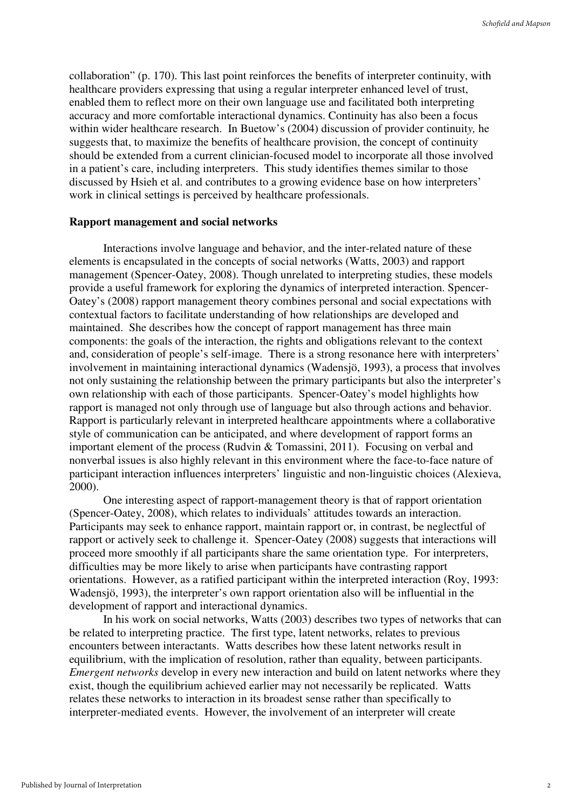collaboration" (p. 170). This last point reinforces the benefits of interpreter continuity, with healthcare providers expressing that using a regular interpreter enhanced level of trust, enabled them to reflect more on their own language use and facilitated both interpreting accuracy and more comfortable interactional dynamics. Continuity has also been a focus within wider healthcare research. In Buetow's (2004) discussion of provider continuit*y,* he suggests that, to maximize the benefits of healthcare provision, the concept of continuity should be extended from a current clinician-focused model to incorporate all those involved in a patient's care, including interpreters. This study identifies themes similar to those discussed by Hsieh et al. and contributes to a growing evidence base on how interpreters' work in clinical settings is perceived by healthcare professionals.

#### **Rapport management and social networks**

Interactions involve language and behavior, and the inter-related nature of these elements is encapsulated in the concepts of social networks (Watts, 2003) and rapport management (Spencer-Oatey, 2008). Though unrelated to interpreting studies, these models provide a useful framework for exploring the dynamics of interpreted interaction. Spencer-Oatey's (2008) rapport management theory combines personal and social expectations with contextual factors to facilitate understanding of how relationships are developed and maintained. She describes how the concept of rapport management has three main components: the goals of the interaction, the rights and obligations relevant to the context and, consideration of people's self-image. There is a strong resonance here with interpreters' involvement in maintaining interactional dynamics (Wadensjö, 1993), a process that involves not only sustaining the relationship between the primary participants but also the interpreter's own relationship with each of those participants. Spencer-Oatey's model highlights how rapport is managed not only through use of language but also through actions and behavior. Rapport is particularly relevant in interpreted healthcare appointments where a collaborative style of communication can be anticipated, and where development of rapport forms an important element of the process (Rudvin & Tomassini, 2011). Focusing on verbal and nonverbal issues is also highly relevant in this environment where the face-to-face nature of participant interaction influences interpreters' linguistic and non-linguistic choices (Alexieva, 2000).

One interesting aspect of rapport-management theory is that of rapport orientation (Spencer-Oatey, 2008), which relates to individuals' attitudes towards an interaction. Participants may seek to enhance rapport, maintain rapport or, in contrast, be neglectful of rapport or actively seek to challenge it. Spencer-Oatey (2008) suggests that interactions will proceed more smoothly if all participants share the same orientation type. For interpreters, difficulties may be more likely to arise when participants have contrasting rapport orientations. However, as a ratified participant within the interpreted interaction (Roy, 1993: Wadensjö, 1993), the interpreter's own rapport orientation also will be influential in the development of rapport and interactional dynamics.

In his work on social networks, Watts (2003) describes two types of networks that can be related to interpreting practice. The first type, latent networks, relates to previous encounters between interactants. Watts describes how these latent networks result in equilibrium, with the implication of resolution, rather than equality, between participants. *Emergent networks* develop in every new interaction and build on latent networks where they exist, though the equilibrium achieved earlier may not necessarily be replicated. Watts relates these networks to interaction in its broadest sense rather than specifically to interpreter-mediated events. However, the involvement of an interpreter will create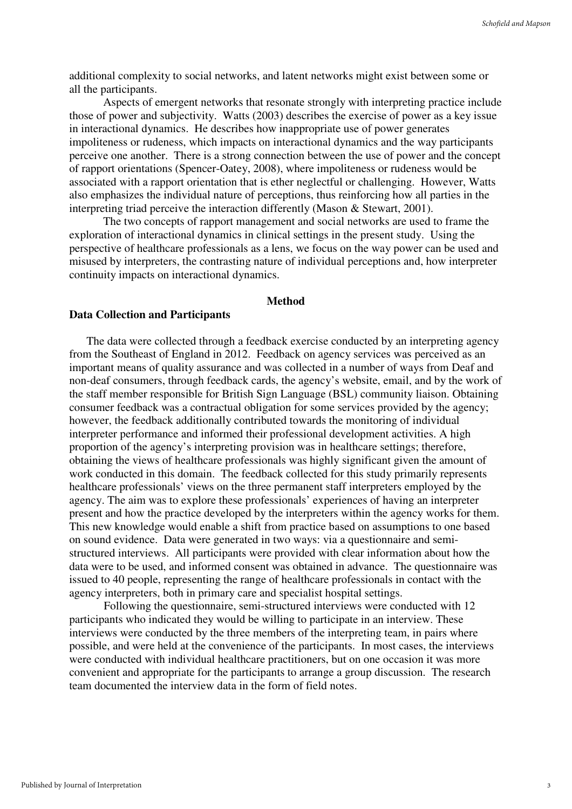additional complexity to social networks, and latent networks might exist between some or all the participants.

Aspects of emergent networks that resonate strongly with interpreting practice include those of power and subjectivity. Watts (2003) describes the exercise of power as a key issue in interactional dynamics. He describes how inappropriate use of power generates impoliteness or rudeness, which impacts on interactional dynamics and the way participants perceive one another. There is a strong connection between the use of power and the concept of rapport orientations (Spencer-Oatey, 2008), where impoliteness or rudeness would be associated with a rapport orientation that is ether neglectful or challenging. However, Watts also emphasizes the individual nature of perceptions, thus reinforcing how all parties in the interpreting triad perceive the interaction differently (Mason & Stewart, 2001).

The two concepts of rapport management and social networks are used to frame the exploration of interactional dynamics in clinical settings in the present study. Using the perspective of healthcare professionals as a lens, we focus on the way power can be used and misused by interpreters, the contrasting nature of individual perceptions and, how interpreter continuity impacts on interactional dynamics.

### **Method**

#### **Data Collection and Participants**

The data were collected through a feedback exercise conducted by an interpreting agency from the Southeast of England in 2012. Feedback on agency services was perceived as an important means of quality assurance and was collected in a number of ways from Deaf and non-deaf consumers, through feedback cards, the agency's website, email, and by the work of the staff member responsible for British Sign Language (BSL) community liaison. Obtaining consumer feedback was a contractual obligation for some services provided by the agency; however, the feedback additionally contributed towards the monitoring of individual interpreter performance and informed their professional development activities. A high proportion of the agency's interpreting provision was in healthcare settings; therefore, obtaining the views of healthcare professionals was highly significant given the amount of work conducted in this domain. The feedback collected for this study primarily represents healthcare professionals' views on the three permanent staff interpreters employed by the agency. The aim was to explore these professionals' experiences of having an interpreter present and how the practice developed by the interpreters within the agency works for them. This new knowledge would enable a shift from practice based on assumptions to one based on sound evidence. Data were generated in two ways: via a questionnaire and semistructured interviews. All participants were provided with clear information about how the data were to be used, and informed consent was obtained in advance. The questionnaire was issued to 40 people, representing the range of healthcare professionals in contact with the agency interpreters, both in primary care and specialist hospital settings.

Following the questionnaire, semi-structured interviews were conducted with 12 participants who indicated they would be willing to participate in an interview. These interviews were conducted by the three members of the interpreting team, in pairs where possible, and were held at the convenience of the participants. In most cases, the interviews were conducted with individual healthcare practitioners, but on one occasion it was more convenient and appropriate for the participants to arrange a group discussion. The research team documented the interview data in the form of field notes.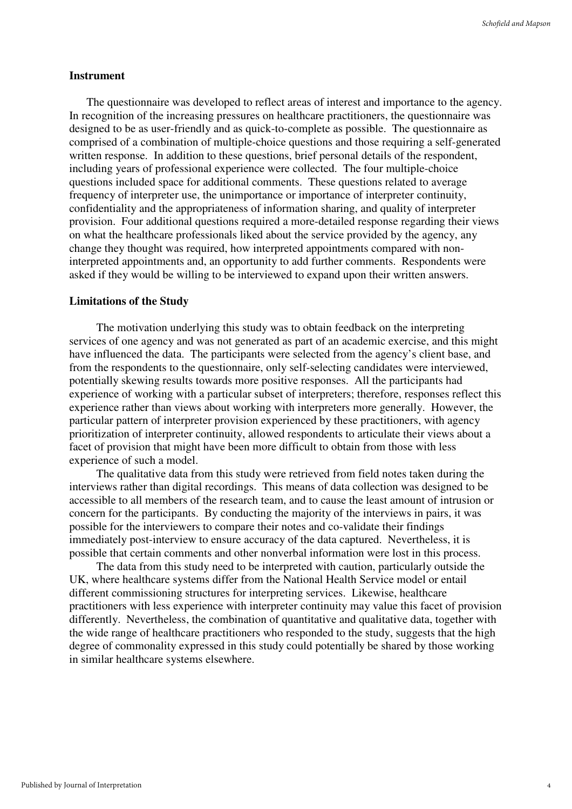#### **Instrument**

The questionnaire was developed to reflect areas of interest and importance to the agency. In recognition of the increasing pressures on healthcare practitioners, the questionnaire was designed to be as user-friendly and as quick-to-complete as possible. The questionnaire as comprised of a combination of multiple-choice questions and those requiring a self-generated written response. In addition to these questions, brief personal details of the respondent, including years of professional experience were collected. The four multiple-choice questions included space for additional comments. These questions related to average frequency of interpreter use, the unimportance or importance of interpreter continuity, confidentiality and the appropriateness of information sharing, and quality of interpreter provision. Four additional questions required a more-detailed response regarding their views on what the healthcare professionals liked about the service provided by the agency, any change they thought was required, how interpreted appointments compared with noninterpreted appointments and, an opportunity to add further comments. Respondents were asked if they would be willing to be interviewed to expand upon their written answers.

#### **Limitations of the Study**

The motivation underlying this study was to obtain feedback on the interpreting services of one agency and was not generated as part of an academic exercise, and this might have influenced the data. The participants were selected from the agency's client base, and from the respondents to the questionnaire, only self-selecting candidates were interviewed, potentially skewing results towards more positive responses. All the participants had experience of working with a particular subset of interpreters; therefore, responses reflect this experience rather than views about working with interpreters more generally. However, the particular pattern of interpreter provision experienced by these practitioners, with agency prioritization of interpreter continuity, allowed respondents to articulate their views about a facet of provision that might have been more difficult to obtain from those with less experience of such a model.

The qualitative data from this study were retrieved from field notes taken during the interviews rather than digital recordings. This means of data collection was designed to be accessible to all members of the research team, and to cause the least amount of intrusion or concern for the participants. By conducting the majority of the interviews in pairs, it was possible for the interviewers to compare their notes and co-validate their findings immediately post-interview to ensure accuracy of the data captured. Nevertheless, it is possible that certain comments and other nonverbal information were lost in this process.

The data from this study need to be interpreted with caution, particularly outside the UK, where healthcare systems differ from the National Health Service model or entail different commissioning structures for interpreting services. Likewise, healthcare practitioners with less experience with interpreter continuity may value this facet of provision differently. Nevertheless, the combination of quantitative and qualitative data, together with the wide range of healthcare practitioners who responded to the study, suggests that the high degree of commonality expressed in this study could potentially be shared by those working in similar healthcare systems elsewhere.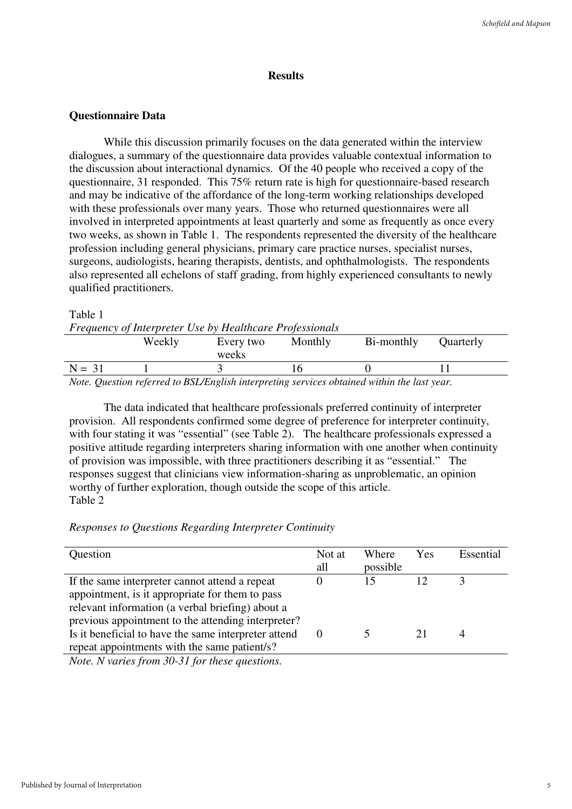# **Results**

# **Questionnaire Data**

While this discussion primarily focuses on the data generated within the interview dialogues, a summary of the questionnaire data provides valuable contextual information to the discussion about interactional dynamics. Of the 40 people who received a copy of the questionnaire, 31 responded. This 75% return rate is high for questionnaire-based research and may be indicative of the affordance of the long-term working relationships developed with these professionals over many years. Those who returned questionnaires were all involved in interpreted appointments at least quarterly and some as frequently as once every two weeks, as shown in Table 1. The respondents represented the diversity of the healthcare profession including general physicians, primary care practice nurses, specialist nurses, surgeons, audiologists, hearing therapists, dentists, and ophthalmologists. The respondents also represented all echelons of staff grading, from highly experienced consultants to newly qualified practitioners.

#### Table 1

|          | Frequency of Interpreter Use by Healthcare Professionals |                    |         |                                                                                            |           |  |
|----------|----------------------------------------------------------|--------------------|---------|--------------------------------------------------------------------------------------------|-----------|--|
|          | Weekly                                                   | Every two<br>weeks | Monthly | Bi-monthly                                                                                 | Quarterly |  |
| $N = 31$ |                                                          |                    |         |                                                                                            |           |  |
|          |                                                          |                    |         | Note Question referred to RSI (Fuglish interpreting services obtained within the last year |           |  |

*Note. Question referred to BSL/English interpreting services obtained within the last year.*

The data indicated that healthcare professionals preferred continuity of interpreter provision. All respondents confirmed some degree of preference for interpreter continuity, with four stating it was "essential" (see Table 2). The healthcare professionals expressed a positive attitude regarding interpreters sharing information with one another when continuity of provision was impossible, with three practitioners describing it as "essential." The responses suggest that clinicians view information-sharing as unproblematic, an opinion worthy of further exploration, though outside the scope of this article. Table 2

# *Responses to Questions Regarding Interpreter Continuity*

| Question                                                                                                                   | Not at | Where    | Yes | Essential |
|----------------------------------------------------------------------------------------------------------------------------|--------|----------|-----|-----------|
|                                                                                                                            | all    | possible |     |           |
| If the same interpreter cannot attend a repeat                                                                             |        | 15       |     |           |
| appointment, is it appropriate for them to pass                                                                            |        |          |     |           |
| relevant information (a verbal briefing) about a                                                                           |        |          |     |           |
| previous appointment to the attending interpreter?                                                                         |        |          |     |           |
| Is it beneficial to have the same interpreter attend                                                                       |        |          |     |           |
| repeat appointments with the same patient/s?                                                                               |        |          |     |           |
| $\mathbf{v}$ $\mathbf{v}$ $\mathbf{v}$ $\mathbf{v}$ $\mathbf{v}$ $\mathbf{v}$ $\mathbf{v}$ $\mathbf{v}$<br>$20.210 \pm 1.$ |        |          |     |           |

*Note. N varies from 30-31 for these questions.*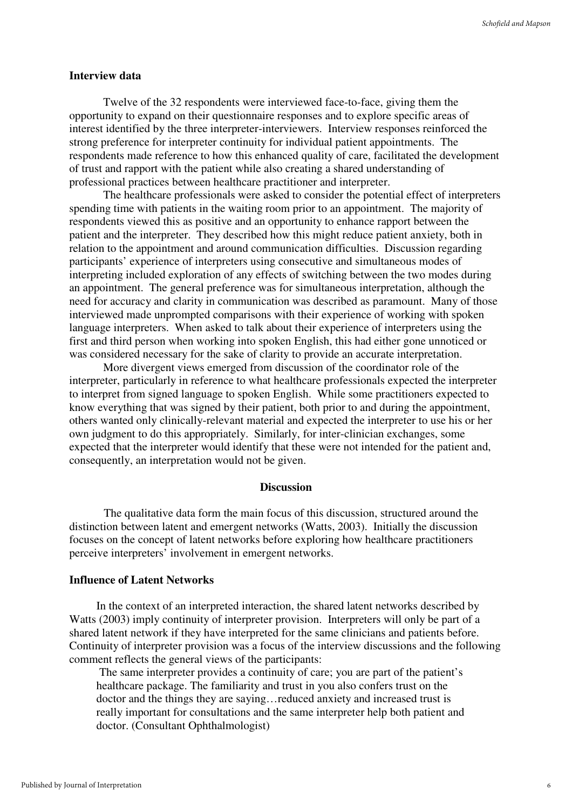#### **Interview data**

Twelve of the 32 respondents were interviewed face-to-face, giving them the opportunity to expand on their questionnaire responses and to explore specific areas of interest identified by the three interpreter-interviewers. Interview responses reinforced the strong preference for interpreter continuity for individual patient appointments. The respondents made reference to how this enhanced quality of care, facilitated the development of trust and rapport with the patient while also creating a shared understanding of professional practices between healthcare practitioner and interpreter.

The healthcare professionals were asked to consider the potential effect of interpreters spending time with patients in the waiting room prior to an appointment. The majority of respondents viewed this as positive and an opportunity to enhance rapport between the patient and the interpreter. They described how this might reduce patient anxiety, both in relation to the appointment and around communication difficulties. Discussion regarding participants' experience of interpreters using consecutive and simultaneous modes of interpreting included exploration of any effects of switching between the two modes during an appointment. The general preference was for simultaneous interpretation, although the need for accuracy and clarity in communication was described as paramount. Many of those interviewed made unprompted comparisons with their experience of working with spoken language interpreters. When asked to talk about their experience of interpreters using the first and third person when working into spoken English, this had either gone unnoticed or was considered necessary for the sake of clarity to provide an accurate interpretation.

More divergent views emerged from discussion of the coordinator role of the interpreter, particularly in reference to what healthcare professionals expected the interpreter to interpret from signed language to spoken English. While some practitioners expected to know everything that was signed by their patient, both prior to and during the appointment, others wanted only clinically-relevant material and expected the interpreter to use his or her own judgment to do this appropriately. Similarly, for inter-clinician exchanges, some expected that the interpreter would identify that these were not intended for the patient and, consequently, an interpretation would not be given.

#### **Discussion**

The qualitative data form the main focus of this discussion, structured around the distinction between latent and emergent networks (Watts, 2003). Initially the discussion focuses on the concept of latent networks before exploring how healthcare practitioners perceive interpreters' involvement in emergent networks.

#### **Influence of Latent Networks**

In the context of an interpreted interaction, the shared latent networks described by Watts (2003) imply continuity of interpreter provision. Interpreters will only be part of a shared latent network if they have interpreted for the same clinicians and patients before. Continuity of interpreter provision was a focus of the interview discussions and the following comment reflects the general views of the participants:

 The same interpreter provides a continuity of care; you are part of the patient's healthcare package. The familiarity and trust in you also confers trust on the doctor and the things they are saying…reduced anxiety and increased trust is really important for consultations and the same interpreter help both patient and doctor. (Consultant Ophthalmologist)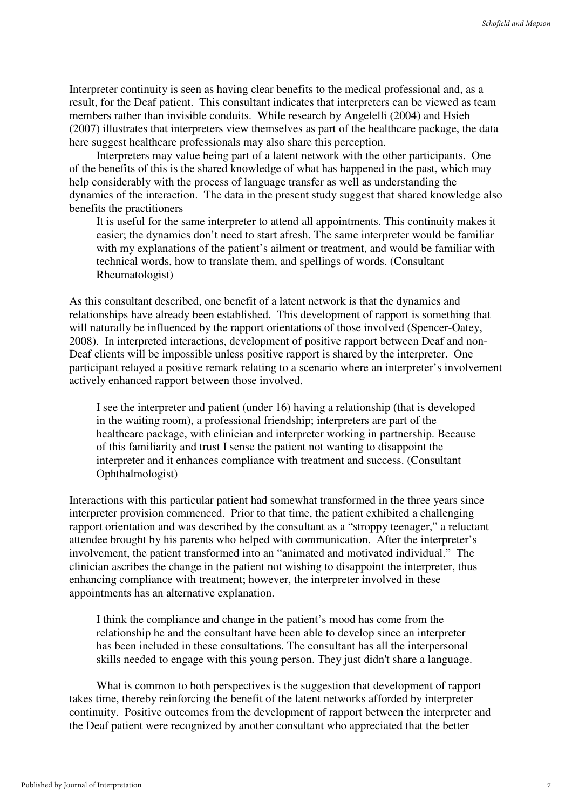Interpreter continuity is seen as having clear benefits to the medical professional and, as a result, for the Deaf patient. This consultant indicates that interpreters can be viewed as team members rather than invisible conduits. While research by Angelelli (2004) and Hsieh (2007) illustrates that interpreters view themselves as part of the healthcare package, the data here suggest healthcare professionals may also share this perception.

Interpreters may value being part of a latent network with the other participants. One of the benefits of this is the shared knowledge of what has happened in the past, which may help considerably with the process of language transfer as well as understanding the dynamics of the interaction. The data in the present study suggest that shared knowledge also benefits the practitioners

It is useful for the same interpreter to attend all appointments. This continuity makes it easier; the dynamics don't need to start afresh. The same interpreter would be familiar with my explanations of the patient's ailment or treatment, and would be familiar with technical words, how to translate them, and spellings of words. (Consultant Rheumatologist)

As this consultant described, one benefit of a latent network is that the dynamics and relationships have already been established. This development of rapport is something that will naturally be influenced by the rapport orientations of those involved (Spencer-Oatey, 2008). In interpreted interactions, development of positive rapport between Deaf and non-Deaf clients will be impossible unless positive rapport is shared by the interpreter. One participant relayed a positive remark relating to a scenario where an interpreter's involvement actively enhanced rapport between those involved.

I see the interpreter and patient (under 16) having a relationship (that is developed in the waiting room), a professional friendship; interpreters are part of the healthcare package, with clinician and interpreter working in partnership. Because of this familiarity and trust I sense the patient not wanting to disappoint the interpreter and it enhances compliance with treatment and success. (Consultant Ophthalmologist)

Interactions with this particular patient had somewhat transformed in the three years since interpreter provision commenced. Prior to that time, the patient exhibited a challenging rapport orientation and was described by the consultant as a "stroppy teenager," a reluctant attendee brought by his parents who helped with communication. After the interpreter's involvement, the patient transformed into an "animated and motivated individual." The clinician ascribes the change in the patient not wishing to disappoint the interpreter, thus enhancing compliance with treatment; however, the interpreter involved in these appointments has an alternative explanation.

I think the compliance and change in the patient's mood has come from the relationship he and the consultant have been able to develop since an interpreter has been included in these consultations. The consultant has all the interpersonal skills needed to engage with this young person. They just didn't share a language.

What is common to both perspectives is the suggestion that development of rapport takes time, thereby reinforcing the benefit of the latent networks afforded by interpreter continuity. Positive outcomes from the development of rapport between the interpreter and the Deaf patient were recognized by another consultant who appreciated that the better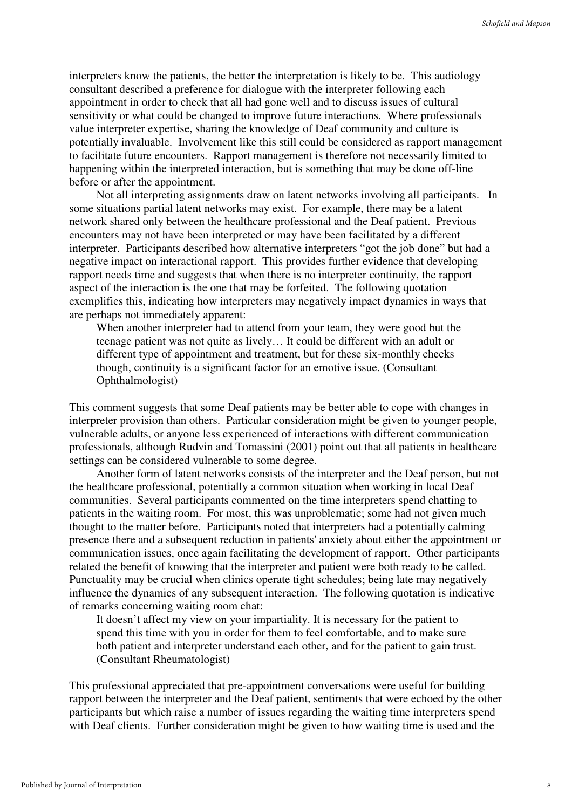interpreters know the patients, the better the interpretation is likely to be. This audiology consultant described a preference for dialogue with the interpreter following each appointment in order to check that all had gone well and to discuss issues of cultural sensitivity or what could be changed to improve future interactions. Where professionals value interpreter expertise, sharing the knowledge of Deaf community and culture is potentially invaluable. Involvement like this still could be considered as rapport management to facilitate future encounters. Rapport management is therefore not necessarily limited to happening within the interpreted interaction, but is something that may be done off-line before or after the appointment.

Not all interpreting assignments draw on latent networks involving all participants. In some situations partial latent networks may exist. For example, there may be a latent network shared only between the healthcare professional and the Deaf patient. Previous encounters may not have been interpreted or may have been facilitated by a different interpreter. Participants described how alternative interpreters "got the job done" but had a negative impact on interactional rapport. This provides further evidence that developing rapport needs time and suggests that when there is no interpreter continuity, the rapport aspect of the interaction is the one that may be forfeited. The following quotation exemplifies this, indicating how interpreters may negatively impact dynamics in ways that are perhaps not immediately apparent:

When another interpreter had to attend from your team, they were good but the teenage patient was not quite as lively… It could be different with an adult or different type of appointment and treatment, but for these six-monthly checks though, continuity is a significant factor for an emotive issue. (Consultant Ophthalmologist)

This comment suggests that some Deaf patients may be better able to cope with changes in interpreter provision than others. Particular consideration might be given to younger people, vulnerable adults, or anyone less experienced of interactions with different communication professionals, although Rudvin and Tomassini (2001) point out that all patients in healthcare settings can be considered vulnerable to some degree.

Another form of latent networks consists of the interpreter and the Deaf person, but not the healthcare professional, potentially a common situation when working in local Deaf communities. Several participants commented on the time interpreters spend chatting to patients in the waiting room. For most, this was unproblematic; some had not given much thought to the matter before. Participants noted that interpreters had a potentially calming presence there and a subsequent reduction in patients' anxiety about either the appointment or communication issues, once again facilitating the development of rapport. Other participants related the benefit of knowing that the interpreter and patient were both ready to be called. Punctuality may be crucial when clinics operate tight schedules; being late may negatively influence the dynamics of any subsequent interaction. The following quotation is indicative of remarks concerning waiting room chat:

It doesn't affect my view on your impartiality. It is necessary for the patient to spend this time with you in order for them to feel comfortable, and to make sure both patient and interpreter understand each other, and for the patient to gain trust. (Consultant Rheumatologist)

This professional appreciated that pre-appointment conversations were useful for building rapport between the interpreter and the Deaf patient, sentiments that were echoed by the other participants but which raise a number of issues regarding the waiting time interpreters spend with Deaf clients. Further consideration might be given to how waiting time is used and the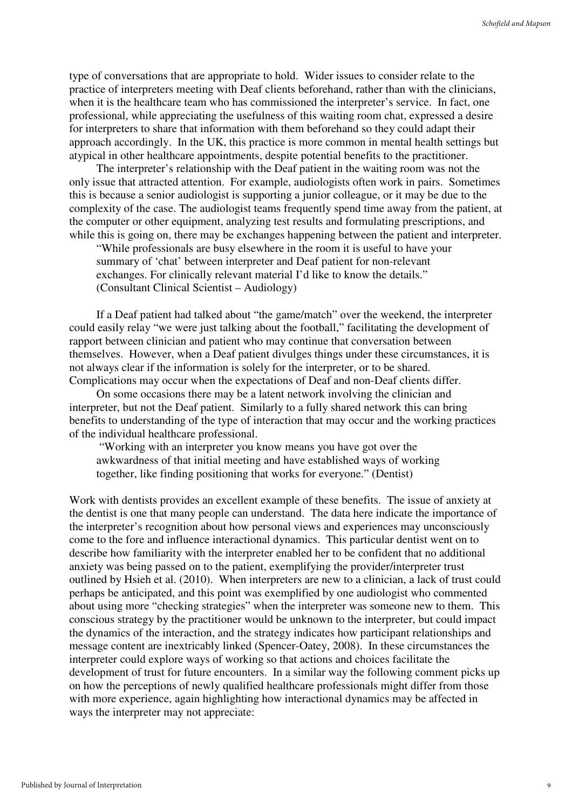type of conversations that are appropriate to hold. Wider issues to consider relate to the practice of interpreters meeting with Deaf clients beforehand, rather than with the clinicians, when it is the healthcare team who has commissioned the interpreter's service. In fact, one professional, while appreciating the usefulness of this waiting room chat, expressed a desire for interpreters to share that information with them beforehand so they could adapt their approach accordingly. In the UK, this practice is more common in mental health settings but atypical in other healthcare appointments, despite potential benefits to the practitioner.

The interpreter's relationship with the Deaf patient in the waiting room was not the only issue that attracted attention. For example, audiologists often work in pairs. Sometimes this is because a senior audiologist is supporting a junior colleague, or it may be due to the complexity of the case. The audiologist teams frequently spend time away from the patient, at the computer or other equipment, analyzing test results and formulating prescriptions, and while this is going on, there may be exchanges happening between the patient and interpreter.

"While professionals are busy elsewhere in the room it is useful to have your summary of 'chat' between interpreter and Deaf patient for non-relevant exchanges. For clinically relevant material I'd like to know the details." (Consultant Clinical Scientist – Audiology)

If a Deaf patient had talked about "the game/match" over the weekend, the interpreter could easily relay "we were just talking about the football," facilitating the development of rapport between clinician and patient who may continue that conversation between themselves. However, when a Deaf patient divulges things under these circumstances, it is not always clear if the information is solely for the interpreter, or to be shared. Complications may occur when the expectations of Deaf and non-Deaf clients differ.

On some occasions there may be a latent network involving the clinician and interpreter, but not the Deaf patient. Similarly to a fully shared network this can bring benefits to understanding of the type of interaction that may occur and the working practices of the individual healthcare professional.

 "Working with an interpreter you know means you have got over the awkwardness of that initial meeting and have established ways of working together, like finding positioning that works for everyone." (Dentist)

Work with dentists provides an excellent example of these benefits. The issue of anxiety at the dentist is one that many people can understand. The data here indicate the importance of the interpreter's recognition about how personal views and experiences may unconsciously come to the fore and influence interactional dynamics. This particular dentist went on to describe how familiarity with the interpreter enabled her to be confident that no additional anxiety was being passed on to the patient, exemplifying the provider/interpreter trust outlined by Hsieh et al. (2010). When interpreters are new to a clinician, a lack of trust could perhaps be anticipated, and this point was exemplified by one audiologist who commented about using more "checking strategies" when the interpreter was someone new to them. This conscious strategy by the practitioner would be unknown to the interpreter, but could impact the dynamics of the interaction, and the strategy indicates how participant relationships and message content are inextricably linked (Spencer-Oatey, 2008). In these circumstances the interpreter could explore ways of working so that actions and choices facilitate the development of trust for future encounters. In a similar way the following comment picks up on how the perceptions of newly qualified healthcare professionals might differ from those with more experience, again highlighting how interactional dynamics may be affected in ways the interpreter may not appreciate: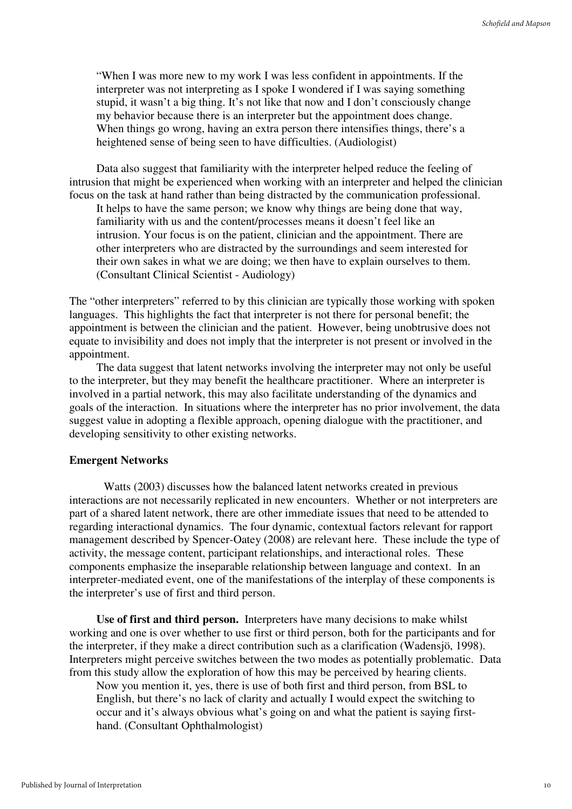"When I was more new to my work I was less confident in appointments. If the interpreter was not interpreting as I spoke I wondered if I was saying something stupid, it wasn't a big thing. It's not like that now and I don't consciously change my behavior because there is an interpreter but the appointment does change. When things go wrong, having an extra person there intensifies things, there's a heightened sense of being seen to have difficulties. (Audiologist)

Data also suggest that familiarity with the interpreter helped reduce the feeling of intrusion that might be experienced when working with an interpreter and helped the clinician focus on the task at hand rather than being distracted by the communication professional.

It helps to have the same person; we know why things are being done that way, familiarity with us and the content/processes means it doesn't feel like an intrusion. Your focus is on the patient, clinician and the appointment. There are other interpreters who are distracted by the surroundings and seem interested for their own sakes in what we are doing; we then have to explain ourselves to them. (Consultant Clinical Scientist - Audiology)

The "other interpreters" referred to by this clinician are typically those working with spoken languages. This highlights the fact that interpreter is not there for personal benefit; the appointment is between the clinician and the patient. However, being unobtrusive does not equate to invisibility and does not imply that the interpreter is not present or involved in the appointment.

The data suggest that latent networks involving the interpreter may not only be useful to the interpreter, but they may benefit the healthcare practitioner. Where an interpreter is involved in a partial network, this may also facilitate understanding of the dynamics and goals of the interaction. In situations where the interpreter has no prior involvement, the data suggest value in adopting a flexible approach, opening dialogue with the practitioner, and developing sensitivity to other existing networks.

#### **Emergent Networks**

Watts (2003) discusses how the balanced latent networks created in previous interactions are not necessarily replicated in new encounters. Whether or not interpreters are part of a shared latent network, there are other immediate issues that need to be attended to regarding interactional dynamics. The four dynamic, contextual factors relevant for rapport management described by Spencer-Oatey (2008) are relevant here. These include the type of activity, the message content, participant relationships, and interactional roles. These components emphasize the inseparable relationship between language and context. In an interpreter-mediated event, one of the manifestations of the interplay of these components is the interpreter's use of first and third person.

**Use of first and third person.** Interpreters have many decisions to make whilst working and one is over whether to use first or third person, both for the participants and for the interpreter, if they make a direct contribution such as a clarification (Wadensjö, 1998). Interpreters might perceive switches between the two modes as potentially problematic. Data from this study allow the exploration of how this may be perceived by hearing clients.

Now you mention it, yes, there is use of both first and third person, from BSL to English, but there's no lack of clarity and actually I would expect the switching to occur and it's always obvious what's going on and what the patient is saying firsthand. (Consultant Ophthalmologist)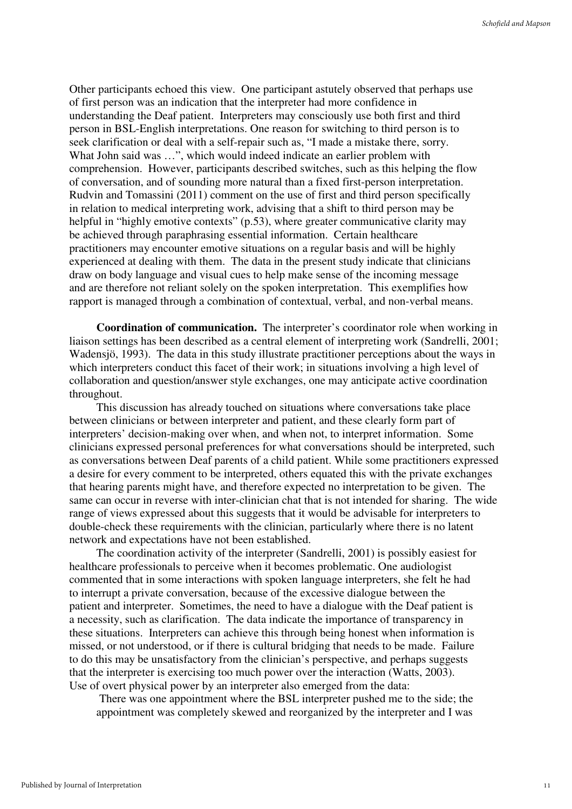Other participants echoed this view. One participant astutely observed that perhaps use of first person was an indication that the interpreter had more confidence in understanding the Deaf patient. Interpreters may consciously use both first and third person in BSL-English interpretations. One reason for switching to third person is to seek clarification or deal with a self-repair such as, "I made a mistake there, sorry. What John said was ...", which would indeed indicate an earlier problem with comprehension. However, participants described switches, such as this helping the flow of conversation, and of sounding more natural than a fixed first-person interpretation. Rudvin and Tomassini (2011) comment on the use of first and third person specifically in relation to medical interpreting work, advising that a shift to third person may be helpful in "highly emotive contexts" (p.53), where greater communicative clarity may be achieved through paraphrasing essential information. Certain healthcare practitioners may encounter emotive situations on a regular basis and will be highly experienced at dealing with them. The data in the present study indicate that clinicians draw on body language and visual cues to help make sense of the incoming message and are therefore not reliant solely on the spoken interpretation. This exemplifies how rapport is managed through a combination of contextual, verbal, and non-verbal means.

**Coordination of communication.** The interpreter's coordinator role when working in liaison settings has been described as a central element of interpreting work (Sandrelli, 2001; Wadensjö, 1993). The data in this study illustrate practitioner perceptions about the ways in which interpreters conduct this facet of their work; in situations involving a high level of collaboration and question/answer style exchanges, one may anticipate active coordination throughout.

This discussion has already touched on situations where conversations take place between clinicians or between interpreter and patient, and these clearly form part of interpreters' decision-making over when, and when not, to interpret information. Some clinicians expressed personal preferences for what conversations should be interpreted, such as conversations between Deaf parents of a child patient. While some practitioners expressed a desire for every comment to be interpreted, others equated this with the private exchanges that hearing parents might have, and therefore expected no interpretation to be given. The same can occur in reverse with inter-clinician chat that is not intended for sharing. The wide range of views expressed about this suggests that it would be advisable for interpreters to double-check these requirements with the clinician, particularly where there is no latent network and expectations have not been established.

The coordination activity of the interpreter (Sandrelli, 2001) is possibly easiest for healthcare professionals to perceive when it becomes problematic. One audiologist commented that in some interactions with spoken language interpreters, she felt he had to interrupt a private conversation, because of the excessive dialogue between the patient and interpreter. Sometimes, the need to have a dialogue with the Deaf patient is a necessity, such as clarification. The data indicate the importance of transparency in these situations. Interpreters can achieve this through being honest when information is missed, or not understood, or if there is cultural bridging that needs to be made. Failure to do this may be unsatisfactory from the clinician's perspective, and perhaps suggests that the interpreter is exercising too much power over the interaction (Watts, 2003). Use of overt physical power by an interpreter also emerged from the data:

 There was one appointment where the BSL interpreter pushed me to the side; the appointment was completely skewed and reorganized by the interpreter and I was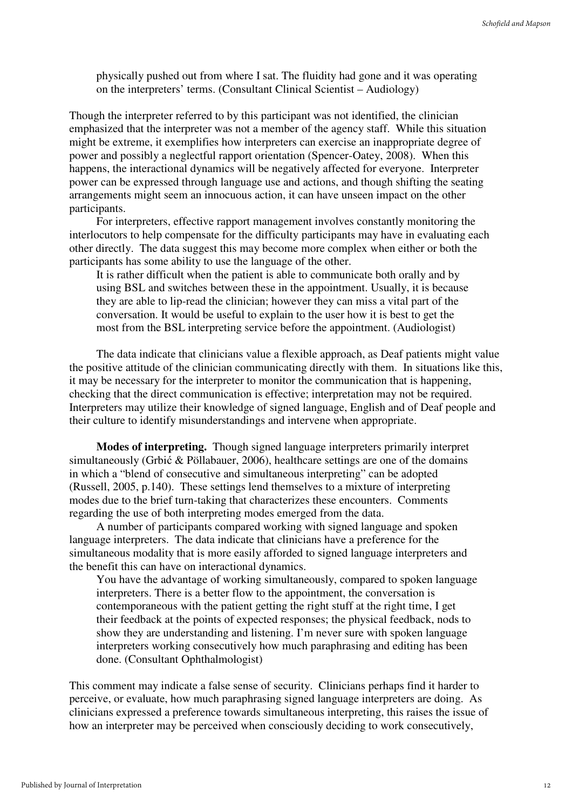physically pushed out from where I sat. The fluidity had gone and it was operating on the interpreters' terms. (Consultant Clinical Scientist – Audiology)

Though the interpreter referred to by this participant was not identified, the clinician emphasized that the interpreter was not a member of the agency staff. While this situation might be extreme, it exemplifies how interpreters can exercise an inappropriate degree of power and possibly a neglectful rapport orientation (Spencer-Oatey, 2008). When this happens, the interactional dynamics will be negatively affected for everyone. Interpreter power can be expressed through language use and actions, and though shifting the seating arrangements might seem an innocuous action, it can have unseen impact on the other participants.

For interpreters, effective rapport management involves constantly monitoring the interlocutors to help compensate for the difficulty participants may have in evaluating each other directly. The data suggest this may become more complex when either or both the participants has some ability to use the language of the other.

It is rather difficult when the patient is able to communicate both orally and by using BSL and switches between these in the appointment. Usually, it is because they are able to lip-read the clinician; however they can miss a vital part of the conversation. It would be useful to explain to the user how it is best to get the most from the BSL interpreting service before the appointment. (Audiologist)

The data indicate that clinicians value a flexible approach, as Deaf patients might value the positive attitude of the clinician communicating directly with them. In situations like this, it may be necessary for the interpreter to monitor the communication that is happening, checking that the direct communication is effective; interpretation may not be required. Interpreters may utilize their knowledge of signed language, English and of Deaf people and their culture to identify misunderstandings and intervene when appropriate.

**Modes of interpreting.** Though signed language interpreters primarily interpret simultaneously (Grbić & Pöllabauer, 2006), healthcare settings are one of the domains in which a "blend of consecutive and simultaneous interpreting" can be adopted (Russell, 2005, p.140). These settings lend themselves to a mixture of interpreting modes due to the brief turn-taking that characterizes these encounters. Comments regarding the use of both interpreting modes emerged from the data.

A number of participants compared working with signed language and spoken language interpreters. The data indicate that clinicians have a preference for the simultaneous modality that is more easily afforded to signed language interpreters and the benefit this can have on interactional dynamics.

You have the advantage of working simultaneously, compared to spoken language interpreters. There is a better flow to the appointment, the conversation is contemporaneous with the patient getting the right stuff at the right time, I get their feedback at the points of expected responses; the physical feedback, nods to show they are understanding and listening. I'm never sure with spoken language interpreters working consecutively how much paraphrasing and editing has been done. (Consultant Ophthalmologist)

This comment may indicate a false sense of security. Clinicians perhaps find it harder to perceive, or evaluate, how much paraphrasing signed language interpreters are doing. As clinicians expressed a preference towards simultaneous interpreting, this raises the issue of how an interpreter may be perceived when consciously deciding to work consecutively,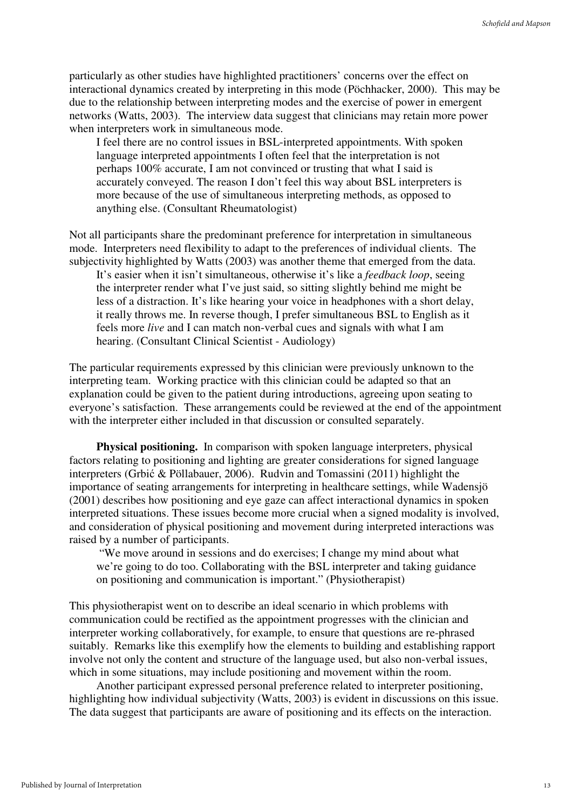particularly as other studies have highlighted practitioners' concerns over the effect on interactional dynamics created by interpreting in this mode (Pöchhacker, 2000). This may be due to the relationship between interpreting modes and the exercise of power in emergent networks (Watts, 2003). The interview data suggest that clinicians may retain more power when interpreters work in simultaneous mode.

I feel there are no control issues in BSL-interpreted appointments. With spoken language interpreted appointments I often feel that the interpretation is not perhaps 100% accurate, I am not convinced or trusting that what I said is accurately conveyed. The reason I don't feel this way about BSL interpreters is more because of the use of simultaneous interpreting methods, as opposed to anything else. (Consultant Rheumatologist)

Not all participants share the predominant preference for interpretation in simultaneous mode. Interpreters need flexibility to adapt to the preferences of individual clients. The subjectivity highlighted by Watts (2003) was another theme that emerged from the data. It's easier when it isn't simultaneous, otherwise it's like a *feedback loop*, seeing the interpreter render what I've just said, so sitting slightly behind me might be less of a distraction. It's like hearing your voice in headphones with a short delay, it really throws me. In reverse though, I prefer simultaneous BSL to English as it feels more *live* and I can match non-verbal cues and signals with what I am hearing. (Consultant Clinical Scientist - Audiology)

The particular requirements expressed by this clinician were previously unknown to the interpreting team. Working practice with this clinician could be adapted so that an explanation could be given to the patient during introductions, agreeing upon seating to everyone's satisfaction. These arrangements could be reviewed at the end of the appointment with the interpreter either included in that discussion or consulted separately.

**Physical positioning.** In comparison with spoken language interpreters, physical factors relating to positioning and lighting are greater considerations for signed language interpreters (Grbić & Pöllabauer, 2006). Rudvin and Tomassini (2011) highlight the importance of seating arrangements for interpreting in healthcare settings, while Wadensjö (2001) describes how positioning and eye gaze can affect interactional dynamics in spoken interpreted situations. These issues become more crucial when a signed modality is involved, and consideration of physical positioning and movement during interpreted interactions was raised by a number of participants.

 "We move around in sessions and do exercises; I change my mind about what we're going to do too. Collaborating with the BSL interpreter and taking guidance on positioning and communication is important." (Physiotherapist)

This physiotherapist went on to describe an ideal scenario in which problems with communication could be rectified as the appointment progresses with the clinician and interpreter working collaboratively, for example, to ensure that questions are re-phrased suitably. Remarks like this exemplify how the elements to building and establishing rapport involve not only the content and structure of the language used, but also non-verbal issues, which in some situations, may include positioning and movement within the room.

Another participant expressed personal preference related to interpreter positioning, highlighting how individual subjectivity (Watts, 2003) is evident in discussions on this issue. The data suggest that participants are aware of positioning and its effects on the interaction.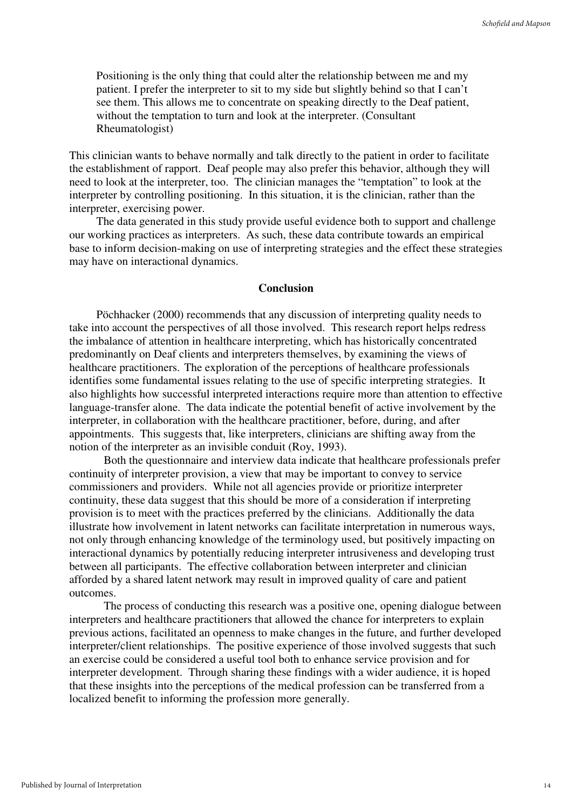Positioning is the only thing that could alter the relationship between me and my patient. I prefer the interpreter to sit to my side but slightly behind so that I can't see them. This allows me to concentrate on speaking directly to the Deaf patient, without the temptation to turn and look at the interpreter. (Consultant Rheumatologist)

This clinician wants to behave normally and talk directly to the patient in order to facilitate the establishment of rapport. Deaf people may also prefer this behavior, although they will need to look at the interpreter, too. The clinician manages the "temptation" to look at the interpreter by controlling positioning. In this situation, it is the clinician, rather than the interpreter, exercising power.

The data generated in this study provide useful evidence both to support and challenge our working practices as interpreters. As such, these data contribute towards an empirical base to inform decision-making on use of interpreting strategies and the effect these strategies may have on interactional dynamics.

#### **Conclusion**

Pöchhacker (2000) recommends that any discussion of interpreting quality needs to take into account the perspectives of all those involved. This research report helps redress the imbalance of attention in healthcare interpreting, which has historically concentrated predominantly on Deaf clients and interpreters themselves, by examining the views of healthcare practitioners. The exploration of the perceptions of healthcare professionals identifies some fundamental issues relating to the use of specific interpreting strategies. It also highlights how successful interpreted interactions require more than attention to effective language-transfer alone. The data indicate the potential benefit of active involvement by the interpreter, in collaboration with the healthcare practitioner, before, during, and after appointments. This suggests that, like interpreters, clinicians are shifting away from the notion of the interpreter as an invisible conduit (Roy, 1993).

Both the questionnaire and interview data indicate that healthcare professionals prefer continuity of interpreter provision, a view that may be important to convey to service commissioners and providers. While not all agencies provide or prioritize interpreter continuity, these data suggest that this should be more of a consideration if interpreting provision is to meet with the practices preferred by the clinicians. Additionally the data illustrate how involvement in latent networks can facilitate interpretation in numerous ways, not only through enhancing knowledge of the terminology used, but positively impacting on interactional dynamics by potentially reducing interpreter intrusiveness and developing trust between all participants. The effective collaboration between interpreter and clinician afforded by a shared latent network may result in improved quality of care and patient outcomes.

The process of conducting this research was a positive one, opening dialogue between interpreters and healthcare practitioners that allowed the chance for interpreters to explain previous actions, facilitated an openness to make changes in the future, and further developed interpreter/client relationships. The positive experience of those involved suggests that such an exercise could be considered a useful tool both to enhance service provision and for interpreter development. Through sharing these findings with a wider audience, it is hoped that these insights into the perceptions of the medical profession can be transferred from a localized benefit to informing the profession more generally.